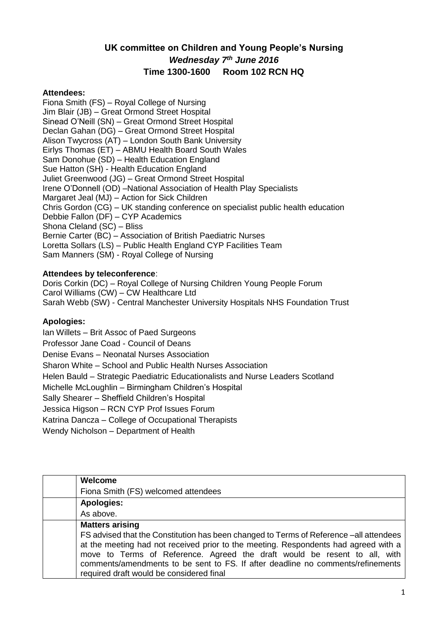# **UK committee on Children and Young People's Nursing** *Wednesday 7th June 2016*  **Time 1300-1600 Room 102 RCN HQ**

## **Attendees:**

Fiona Smith (FS) – Royal College of Nursing Jim Blair (JB) – Great Ormond Street Hospital Sinead O'Neill (SN) – Great Ormond Street Hospital Declan Gahan (DG) – Great Ormond Street Hospital Alison Twycross (AT) – London South Bank University Eirlys Thomas (ET) – ABMU Health Board South Wales Sam Donohue (SD) – Health Education England Sue Hatton (SH) - Health Education England Juliet Greenwood (JG) – Great Ormond Street Hospital Irene O'Donnell (OD) –National Association of Health Play Specialists Margaret Jeal (MJ) – Action for Sick Children Chris Gordon (CG) – UK standing conference on specialist public health education Debbie Fallon (DF) – CYP Academics Shona Cleland (SC) – Bliss Bernie Carter (BC) – Association of British Paediatric Nurses Loretta Sollars (LS) – Public Health England CYP Facilities Team Sam Manners (SM) - Royal College of Nursing

## **Attendees by teleconference**:

Doris Corkin (DC) – Royal College of Nursing Children Young People Forum Carol Williams (CW) – CW Healthcare Ltd Sarah Webb (SW) - Central Manchester University Hospitals NHS Foundation Trust

## **Apologies:**

Ian Willets – Brit Assoc of Paed Surgeons Professor Jane Coad - Council of Deans Denise Evans – Neonatal Nurses Association Sharon White – School and Public Health Nurses Association Helen Bauld – Strategic Paediatric Educationalists and Nurse Leaders Scotland Michelle McLoughlin – Birmingham Children's Hospital Sally Shearer – Sheffield Children's Hospital Jessica Higson – RCN CYP Prof Issues Forum Katrina Dancza – College of Occupational Therapists Wendy Nicholson – Department of Health

| <b>Welcome</b>                                                                                                                                                                                                                                                                                                                                                                            |
|-------------------------------------------------------------------------------------------------------------------------------------------------------------------------------------------------------------------------------------------------------------------------------------------------------------------------------------------------------------------------------------------|
| Fiona Smith (FS) welcomed attendees                                                                                                                                                                                                                                                                                                                                                       |
| <b>Apologies:</b>                                                                                                                                                                                                                                                                                                                                                                         |
| As above.                                                                                                                                                                                                                                                                                                                                                                                 |
| <b>Matters arising</b>                                                                                                                                                                                                                                                                                                                                                                    |
| FS advised that the Constitution has been changed to Terms of Reference –all attendees<br>at the meeting had not received prior to the meeting. Respondents had agreed with a<br>move to Terms of Reference. Agreed the draft would be resent to all, with<br>comments/amendments to be sent to FS. If after deadline no comments/refinements<br>required draft would be considered final |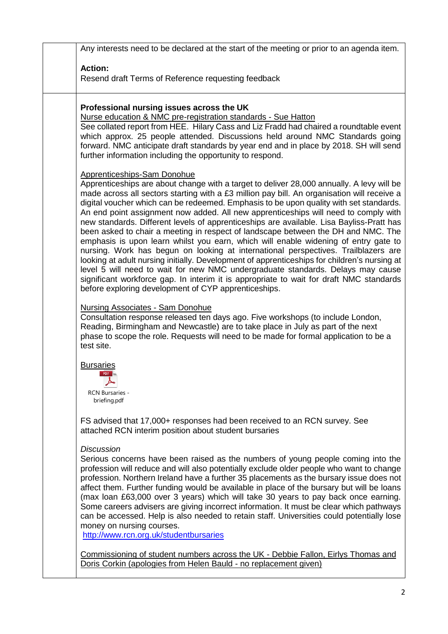Any interests need to be declared at the start of the meeting or prior to an agenda item. **Action:** Resend draft Terms of Reference requesting feedback **Professional nursing issues across the UK** Nurse education & NMC pre-registration standards - Sue Hatton See collated report from HEE. Hilary Cass and Liz Fradd had chaired a roundtable event which approx. 25 people attended. Discussions held around NMC Standards going forward. NMC anticipate draft standards by year end and in place by 2018. SH will send further information including the opportunity to respond. Apprenticeships-Sam Donohue Apprenticeships are about change with a target to deliver 28,000 annually. A levy will be made across all sectors starting with a £3 million pay bill. An organisation will receive a digital voucher which can be redeemed. Emphasis to be upon quality with set standards. An end point assignment now added. All new apprenticeships will need to comply with new standards. Different levels of apprenticeships are available. Lisa Bayliss-Pratt has been asked to chair a meeting in respect of landscape between the DH and NMC. The emphasis is upon learn whilst you earn, which will enable widening of entry gate to nursing. Work has begun on looking at international perspectives. Trailblazers are looking at adult nursing initially. Development of apprenticeships for children's nursing at level 5 will need to wait for new NMC undergraduate standards. Delays may cause significant workforce gap. In interim it is appropriate to wait for draft NMC standards before exploring development of CYP apprenticeships. Nursing Associates - Sam Donohue Consultation response released ten days ago. Five workshops (to include London, Reading, Birmingham and Newcastle) are to take place in July as part of the next phase to scope the role. Requests will need to be made for formal application to be a test site. **Bursaries** PDF<sup>1</sup>  $\blacktriangleright$ RCN Bursaries briefing.pdf FS advised that 17,000+ responses had been received to an RCN survey. See attached RCN interim position about student bursaries *Discussion* Serious concerns have been raised as the numbers of young people coming into the profession will reduce and will also potentially exclude older people who want to change profession. Northern Ireland have a further 35 placements as the bursary issue does not affect them. Further funding would be available in place of the bursary but will be loans (max loan £63,000 over 3 years) which will take 30 years to pay back once earning. Some careers advisers are giving incorrect information. It must be clear which pathways can be accessed. Help is also needed to retain staff. Universities could potentially lose money on nursing courses. <http://www.rcn.org.uk/studentbursaries> Commissioning of student numbers across the UK - Debbie Fallon, Eirlys Thomas and Doris Corkin (apologies from Helen Bauld - no replacement given)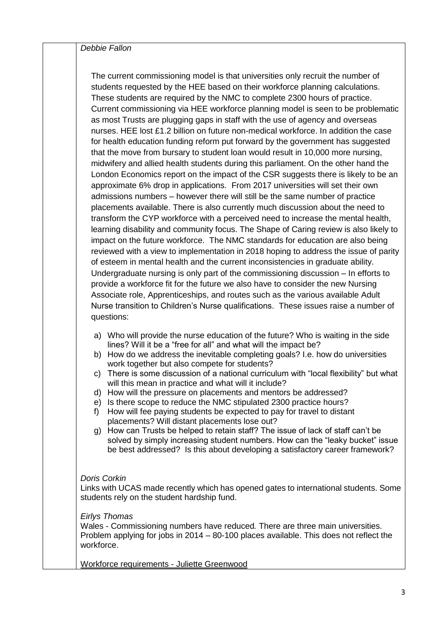*Debbie Fallon*

The current commissioning model is that universities only recruit the number of students requested by the HEE based on their workforce planning calculations. These students are required by the NMC to complete 2300 hours of practice. Current commissioning via HEE workforce planning model is seen to be problematic as most Trusts are plugging gaps in staff with the use of agency and overseas nurses. HEE lost £1.2 billion on future non-medical workforce. In addition the case for health education funding reform put forward by the government has suggested that the move from bursary to student loan would result in 10,000 more nursing, midwifery and allied health students during this parliament. On the other hand the London Economics report on the impact of the CSR suggests there is likely to be an approximate 6% drop in applications. From 2017 universities will set their own admissions numbers – however there will still be the same number of practice placements available. There is also currently much discussion about the need to transform the CYP workforce with a perceived need to increase the mental health, learning disability and community focus. The Shape of Caring review is also likely to impact on the future workforce. The NMC standards for education are also being reviewed with a view to implementation in 2018 hoping to address the issue of parity of esteem in mental health and the current inconsistencies in graduate ability. Undergraduate nursing is only part of the commissioning discussion – In efforts to provide a workforce fit for the future we also have to consider the new Nursing Associate role, Apprenticeships, and routes such as the various available Adult Nurse transition to Children's Nurse qualifications. These issues raise a number of questions:

- a) Who will provide the nurse education of the future? Who is waiting in the side lines? Will it be a "free for all" and what will the impact be?
- b) How do we address the inevitable completing goals? I.e. how do universities work together but also compete for students?
- c) There is some discussion of a national curriculum with "local flexibility" but what will this mean in practice and what will it include?
- d) How will the pressure on placements and mentors be addressed?
- e) Is there scope to reduce the NMC stipulated 2300 practice hours?
- f) How will fee paying students be expected to pay for travel to distant placements? Will distant placements lose out?
- g) How can Trusts be helped to retain staff? The issue of lack of staff can't be solved by simply increasing student numbers. How can the "leaky bucket" issue be best addressed? Is this about developing a satisfactory career framework?

## *Doris Corkin*

Links with UCAS made recently which has opened gates to international students. Some students rely on the student hardship fund.

## *Eirlys Thomas*

Wales - Commissioning numbers have reduced*.* There are three main universities. Problem applying for jobs in 2014 – 80-100 places available. This does not reflect the workforce.

Workforce requirements - Juliette Greenwood